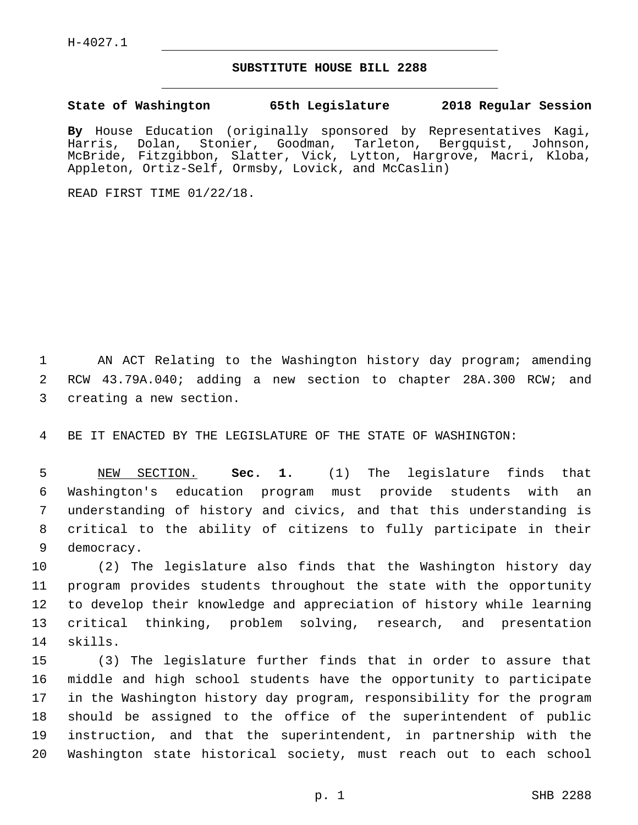## **SUBSTITUTE HOUSE BILL 2288**

**State of Washington 65th Legislature 2018 Regular Session**

**By** House Education (originally sponsored by Representatives Kagi, Harris, Dolan, Stonier, Goodman, Tarleton, Bergquist, Johnson, McBride, Fitzgibbon, Slatter, Vick, Lytton, Hargrove, Macri, Kloba, Appleton, Ortiz-Self, Ormsby, Lovick, and McCaslin)

READ FIRST TIME 01/22/18.

 AN ACT Relating to the Washington history day program; amending RCW 43.79A.040; adding a new section to chapter 28A.300 RCW; and 3 creating a new section.

BE IT ENACTED BY THE LEGISLATURE OF THE STATE OF WASHINGTON:

 NEW SECTION. **Sec. 1.** (1) The legislature finds that Washington's education program must provide students with an understanding of history and civics, and that this understanding is critical to the ability of citizens to fully participate in their democracy.

 (2) The legislature also finds that the Washington history day program provides students throughout the state with the opportunity to develop their knowledge and appreciation of history while learning critical thinking, problem solving, research, and presentation 14 skills.

 (3) The legislature further finds that in order to assure that middle and high school students have the opportunity to participate in the Washington history day program, responsibility for the program should be assigned to the office of the superintendent of public instruction, and that the superintendent, in partnership with the Washington state historical society, must reach out to each school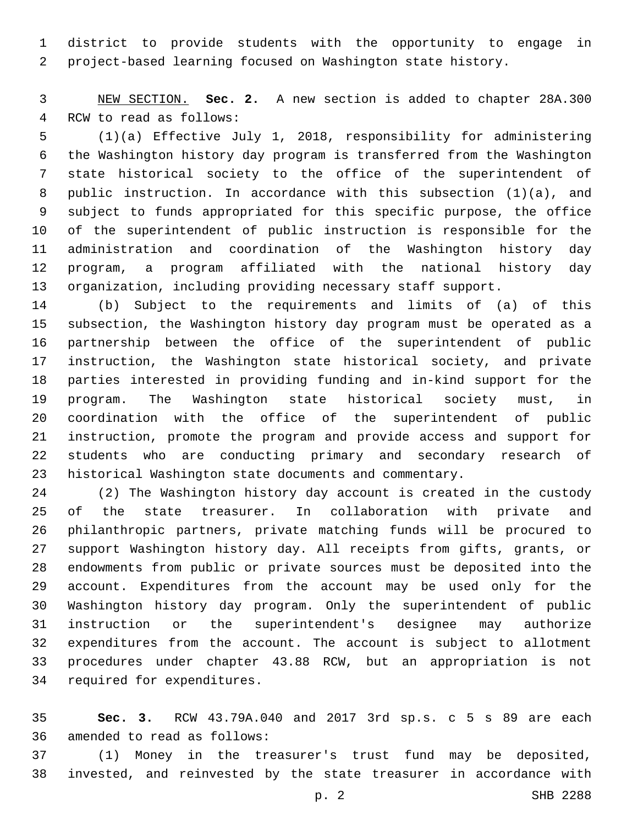district to provide students with the opportunity to engage in project-based learning focused on Washington state history.

 NEW SECTION. **Sec. 2.** A new section is added to chapter 28A.300 4 RCW to read as follows:

 (1)(a) Effective July 1, 2018, responsibility for administering the Washington history day program is transferred from the Washington state historical society to the office of the superintendent of public instruction. In accordance with this subsection (1)(a), and subject to funds appropriated for this specific purpose, the office of the superintendent of public instruction is responsible for the administration and coordination of the Washington history day program, a program affiliated with the national history day organization, including providing necessary staff support.

 (b) Subject to the requirements and limits of (a) of this subsection, the Washington history day program must be operated as a partnership between the office of the superintendent of public instruction, the Washington state historical society, and private parties interested in providing funding and in-kind support for the program. The Washington state historical society must, in coordination with the office of the superintendent of public instruction, promote the program and provide access and support for students who are conducting primary and secondary research of historical Washington state documents and commentary.

 (2) The Washington history day account is created in the custody of the state treasurer. In collaboration with private and philanthropic partners, private matching funds will be procured to support Washington history day. All receipts from gifts, grants, or endowments from public or private sources must be deposited into the account. Expenditures from the account may be used only for the Washington history day program. Only the superintendent of public instruction or the superintendent's designee may authorize expenditures from the account. The account is subject to allotment procedures under chapter 43.88 RCW, but an appropriation is not 34 required for expenditures.

 **Sec. 3.** RCW 43.79A.040 and 2017 3rd sp.s. c 5 s 89 are each 36 amended to read as follows:

 (1) Money in the treasurer's trust fund may be deposited, invested, and reinvested by the state treasurer in accordance with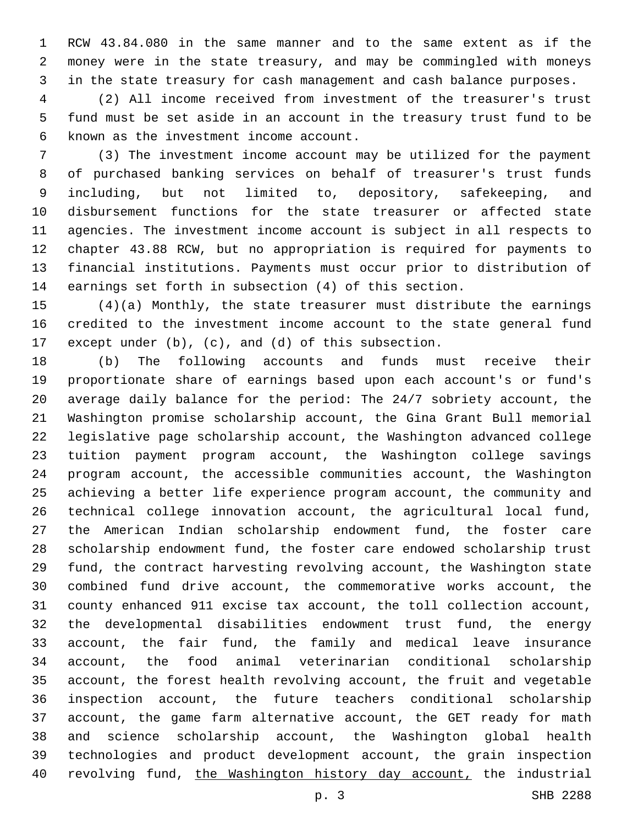RCW 43.84.080 in the same manner and to the same extent as if the money were in the state treasury, and may be commingled with moneys in the state treasury for cash management and cash balance purposes.

 (2) All income received from investment of the treasurer's trust fund must be set aside in an account in the treasury trust fund to be 6 known as the investment income account.

 (3) The investment income account may be utilized for the payment of purchased banking services on behalf of treasurer's trust funds including, but not limited to, depository, safekeeping, and disbursement functions for the state treasurer or affected state agencies. The investment income account is subject in all respects to chapter 43.88 RCW, but no appropriation is required for payments to financial institutions. Payments must occur prior to distribution of earnings set forth in subsection (4) of this section.

 (4)(a) Monthly, the state treasurer must distribute the earnings credited to the investment income account to the state general fund except under (b), (c), and (d) of this subsection.

 (b) The following accounts and funds must receive their proportionate share of earnings based upon each account's or fund's average daily balance for the period: The 24/7 sobriety account, the Washington promise scholarship account, the Gina Grant Bull memorial legislative page scholarship account, the Washington advanced college tuition payment program account, the Washington college savings program account, the accessible communities account, the Washington achieving a better life experience program account, the community and technical college innovation account, the agricultural local fund, the American Indian scholarship endowment fund, the foster care scholarship endowment fund, the foster care endowed scholarship trust fund, the contract harvesting revolving account, the Washington state combined fund drive account, the commemorative works account, the county enhanced 911 excise tax account, the toll collection account, the developmental disabilities endowment trust fund, the energy account, the fair fund, the family and medical leave insurance account, the food animal veterinarian conditional scholarship account, the forest health revolving account, the fruit and vegetable inspection account, the future teachers conditional scholarship account, the game farm alternative account, the GET ready for math and science scholarship account, the Washington global health technologies and product development account, the grain inspection revolving fund, the Washington history day account, the industrial